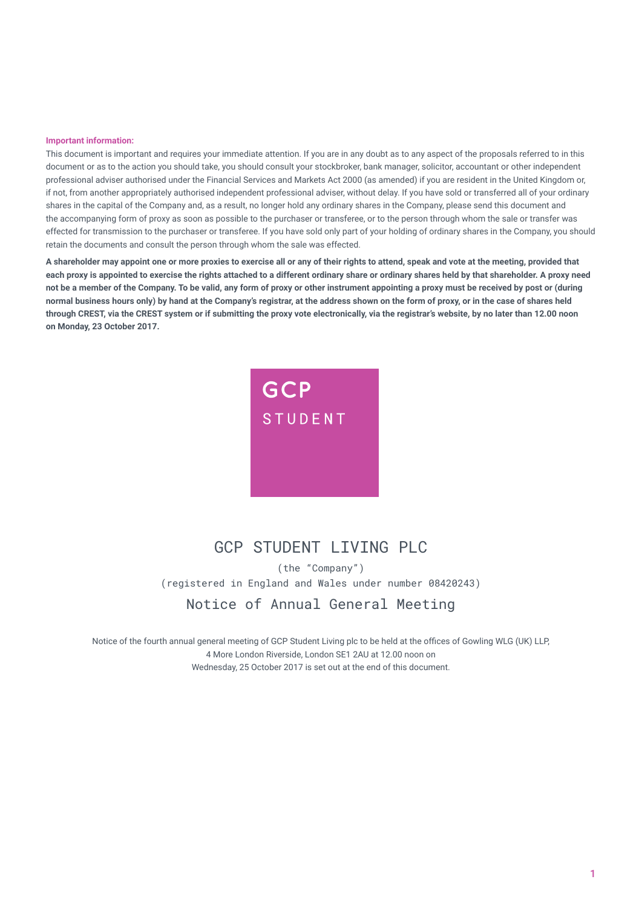#### **Important information:**

This document is important and requires your immediate attention. If you are in any doubt as to any aspect of the proposals referred to in this document or as to the action you should take, you should consult your stockbroker, bank manager, solicitor, accountant or other independent professional adviser authorised under the Financial Services and Markets Act 2000 (as amended) if you are resident in the United Kingdom or, if not, from another appropriately authorised independent professional adviser, without delay. If you have sold or transferred all of your ordinary shares in the capital of the Company and, as a result, no longer hold any ordinary shares in the Company, please send this document and the accompanying form of proxy as soon as possible to the purchaser or transferee, or to the person through whom the sale or transfer was effected for transmission to the purchaser or transferee. If you have sold only part of your holding of ordinary shares in the Company, you should retain the documents and consult the person through whom the sale was effected.

**A shareholder may appoint one or more proxies to exercise all or any of their rights to attend, speak and vote at the meeting, provided that**  each proxy is appointed to exercise the rights attached to a different ordinary share or ordinary shares held by that shareholder. A proxy need **not be a member of the Company. To be valid, any form of proxy or other instrument appointing a proxy must be received by post or (during normal business hours only) by hand at the Company's registrar, at the address shown on the form of proxy, or in the case of shares held through CREST, via the CREST system or if submitting the proxy vote electronically, via the registrar's website, by no later than 12.00 noon on Monday, 23 October 2017.** 



# GCP STUDENT I TVTNG PLC

(the "Company") (registered in England and Wales under number 08420243)

Notice of Annual General Meeting

Notice of the fourth annual general meeting of GCP Student Living plc to be held at the offices of Gowling WLG (UK) LLP, 4 More London Riverside, London SE1 2AU at 12.00 noon on Wednesday, 25 October 2017 is set out at the end of this document.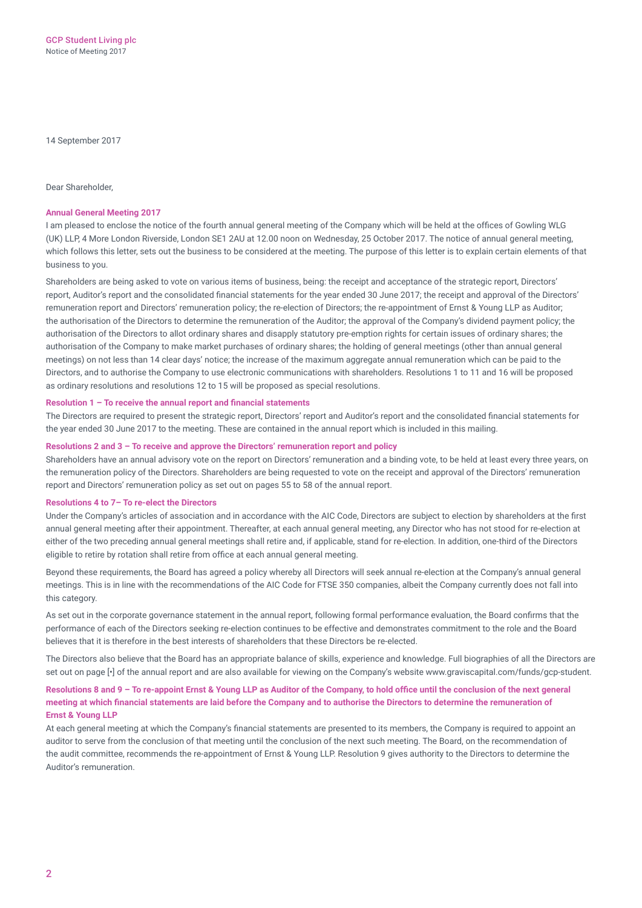14 September 2017

Dear Shareholder,

#### **Annual General Meeting 2017**

I am pleased to enclose the notice of the fourth annual general meeting of the Company which will be held at the offices of Gowling WLG (UK) LLP, 4 More London Riverside, London SE1 2AU at 12.00 noon on Wednesday, 25 October 2017. The notice of annual general meeting, which follows this letter, sets out the business to be considered at the meeting. The purpose of this letter is to explain certain elements of that business to you.

Shareholders are being asked to vote on various items of business, being: the receipt and acceptance of the strategic report, Directors' report, Auditor's report and the consolidated financial statements for the year ended 30 June 2017; the receipt and approval of the Directors' remuneration report and Directors' remuneration policy; the re-election of Directors; the re‑appointment of Ernst & Young LLP as Auditor; the authorisation of the Directors to determine the remuneration of the Auditor; the approval of the Company's dividend payment policy; the authorisation of the Directors to allot ordinary shares and disapply statutory pre‑emption rights for certain issues of ordinary shares; the authorisation of the Company to make market purchases of ordinary shares; the holding of general meetings (other than annual general meetings) on not less than 14 clear days' notice; the increase of the maximum aggregate annual remuneration which can be paid to the Directors, and to authorise the Company to use electronic communications with shareholders. Resolutions 1 to 11 and 16 will be proposed as ordinary resolutions and resolutions 12 to 15 will be proposed as special resolutions.

### **Resolution 1 – To receive the annual report and financial statements**

The Directors are required to present the strategic report, Directors' report and Auditor's report and the consolidated financial statements for the year ended 30 June 2017 to the meeting. These are contained in the annual report which is included in this mailing.

## **Resolutions 2 and 3 – To receive and approve the Directors' remuneration report and policy**

Shareholders have an annual advisory vote on the report on Directors' remuneration and a binding vote, to be held at least every three years, on the remuneration policy of the Directors. Shareholders are being requested to vote on the receipt and approval of the Directors' remuneration report and Directors' remuneration policy as set out on pages 55 to 58 of the annual report.

### **Resolutions 4 to 7– To re‑elect the Directors**

Under the Company's articles of association and in accordance with the AIC Code, Directors are subject to election by shareholders at the first annual general meeting after their appointment. Thereafter, at each annual general meeting, any Director who has not stood for re‑election at either of the two preceding annual general meetings shall retire and, if applicable, stand for re-election. In addition, one-third of the Directors eligible to retire by rotation shall retire from office at each annual general meeting.

Beyond these requirements, the Board has agreed a policy whereby all Directors will seek annual re-election at the Company's annual general meetings. This is in line with the recommendations of the AIC Code for FTSE 350 companies, albeit the Company currently does not fall into this category.

As set out in the corporate governance statement in the annual report, following formal performance evaluation, the Board confirms that the performance of each of the Directors seeking re‑election continues to be effective and demonstrates commitment to the role and the Board believes that it is therefore in the best interests of shareholders that these Directors be re‑elected.

The Directors also believe that the Board has an appropriate balance of skills, experience and knowledge. Full biographies of all the Directors are set out on page [•] of the annual report and are also available for viewing on the Company's website [www.graviscapital.com/funds/gcp-student.](www.graviscapital.com/funds/gcp-student)

## **Resolutions 8 and 9 – To re-appoint Ernst & Young LLP as Auditor of the Company, to hold office until the conclusion of the next general meeting at which financial statements are laid before the Company and to authorise the Directors to determine the remuneration of Ernst & Young LLP**

At each general meeting at which the Company's financial statements are presented to its members, the Company is required to appoint an auditor to serve from the conclusion of that meeting until the conclusion of the next such meeting. The Board, on the recommendation of the audit committee, recommends the re‑appointment of Ernst & Young LLP. Resolution 9 gives authority to the Directors to determine the Auditor's remuneration.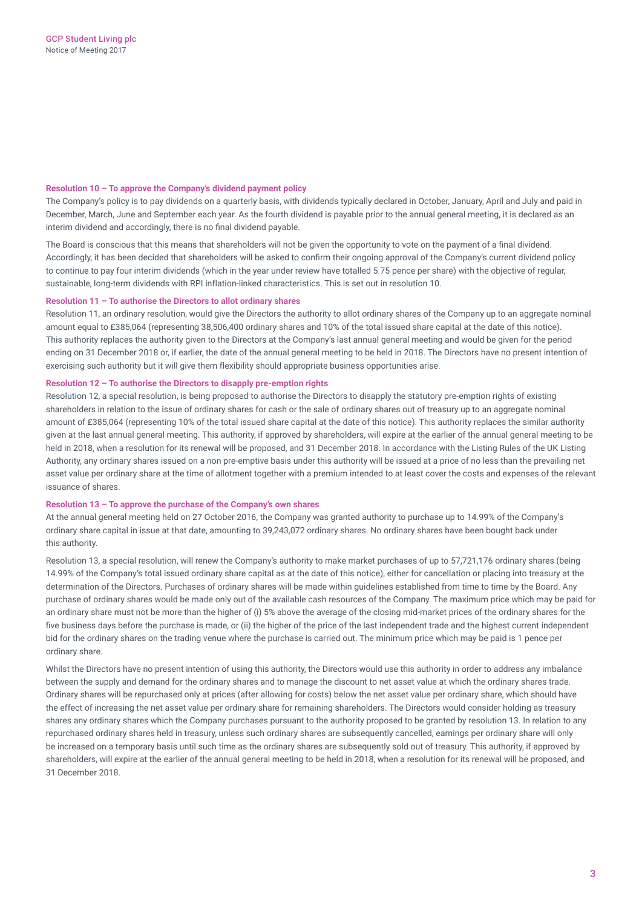## **Resolution 10 – To approve the Company's dividend payment policy**

The Company's policy is to pay dividends on a quarterly basis, with dividends typically declared in October, January, April and July and paid in December, March, June and September each year. As the fourth dividend is payable prior to the annual general meeting, it is declared as an interim dividend and accordingly, there is no final dividend payable.

The Board is conscious that this means that shareholders will not be given the opportunity to vote on the payment of a final dividend. Accordingly, it has been decided that shareholders will be asked to confirm their ongoing approval of the Company's current dividend policy to continue to pay four interim dividends (which in the year under review have totalled 5.75 pence per share) with the objective of regular, sustainable, long-term dividends with RPI inflation-linked characteristics. This is set out in resolution 10.

### **Resolution 11 – To authorise the Directors to allot ordinary shares**

Resolution 11, an ordinary resolution, would give the Directors the authority to allot ordinary shares of the Company up to an aggregate nominal amount equal to £385,064 (representing 38,506,400 ordinary shares and 10% of the total issued share capital at the date of this notice). This authority replaces the authority given to the Directors at the Company's last annual general meeting and would be given for the period ending on 31 December 2018 or, if earlier, the date of the annual general meeting to be held in 2018. The Directors have no present intention of exercising such authority but it will give them flexibility should appropriate business opportunities arise.

## **Resolution 12 – To authorise the Directors to disapply pre‑emption rights**

Resolution 12, a special resolution, is being proposed to authorise the Directors to disapply the statutory pre-emption rights of existing shareholders in relation to the issue of ordinary shares for cash or the sale of ordinary shares out of treasury up to an aggregate nominal amount of £385,064 (representing 10% of the total issued share capital at the date of this notice). This authority replaces the similar authority given at the last annual general meeting. This authority, if approved by shareholders, will expire at the earlier of the annual general meeting to be held in 2018, when a resolution for its renewal will be proposed, and 31 December 2018. In accordance with the Listing Rules of the UK Listing Authority, any ordinary shares issued on a non pre-emptive basis under this authority will be issued at a price of no less than the prevailing net asset value per ordinary share at the time of allotment together with a premium intended to at least cover the costs and expenses of the relevant issuance of shares.

### **Resolution 13 – To approve the purchase of the Company's own shares**

At the annual general meeting held on 27 October 2016, the Company was granted authority to purchase up to 14.99% of the Company's ordinary share capital in issue at that date, amounting to 39,243,072 ordinary shares. No ordinary shares have been bought back under this authority.

Resolution 13, a special resolution, will renew the Company's authority to make market purchases of up to 57,721,176 ordinary shares (being 14.99% of the Company's total issued ordinary share capital as at the date of this notice), either for cancellation or placing into treasury at the determination of the Directors. Purchases of ordinary shares will be made within guidelines established from time to time by the Board. Any purchase of ordinary shares would be made only out of the available cash resources of the Company. The maximum price which may be paid for an ordinary share must not be more than the higher of (i) 5% above the average of the closing mid-market prices of the ordinary shares for the five business days before the purchase is made, or (ii) the higher of the price of the last independent trade and the highest current independent bid for the ordinary shares on the trading venue where the purchase is carried out. The minimum price which may be paid is 1 pence per ordinary share.

Whilst the Directors have no present intention of using this authority, the Directors would use this authority in order to address any imbalance between the supply and demand for the ordinary shares and to manage the discount to net asset value at which the ordinary shares trade. Ordinary shares will be repurchased only at prices (after allowing for costs) below the net asset value per ordinary share, which should have the effect of increasing the net asset value per ordinary share for remaining shareholders. The Directors would consider holding as treasury shares any ordinary shares which the Company purchases pursuant to the authority proposed to be granted by resolution 13. In relation to any repurchased ordinary shares held in treasury, unless such ordinary shares are subsequently cancelled, earnings per ordinary share will only be increased on a temporary basis until such time as the ordinary shares are subsequently sold out of treasury. This authority, if approved by shareholders, will expire at the earlier of the annual general meeting to be held in 2018, when a resolution for its renewal will be proposed, and 31 December 2018.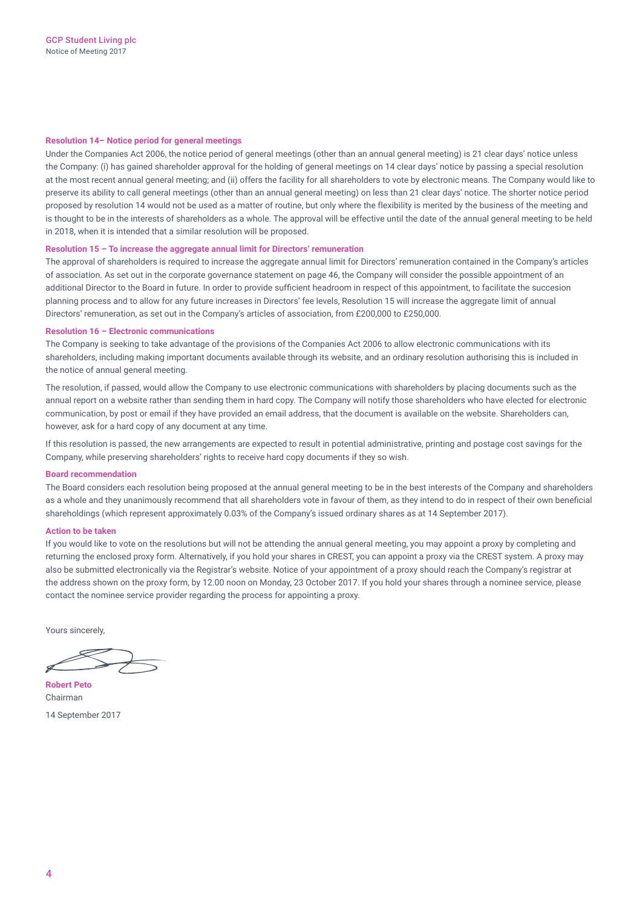### **Resolution 14– Notice period for general meetings**

Under the Companies Act 2006, the notice period of general meetings (other than an annual general meeting) is 21 clear days' notice unless the Company: (i) has gained shareholder approval for the holding of general meetings on 14 clear days' notice by passing a special resolution at the most recent annual general meeting; and (ii) offers the facility for all shareholders to vote by electronic means. The Company would like to preserve its ability to call general meetings (other than an annual general meeting) on less than 21 clear days' notice. The shorter notice period proposed by resolution 14 would not be used as a matter of routine, but only where the flexibility is merited by the business of the meeting and is thought to be in the interests of shareholders as a whole. The approval will be effective until the date of the annual general meeting to be held in 2018, when it is intended that a similar resolution will be proposed.

#### **Resolution 15 – To increase the aggregate annual limit for Directors' remuneration**

The approval of shareholders is required to increase the aggregate annual limit for Directors' remuneration contained in the Company's articles of association. As set out in the corporate governance statement on page 46, the Company will consider the possible appointment of an additional Director to the Board in future. In order to provide sufficient headroom in respect of this appointment, to facilitate the succesion planning process and to allow for any future increases in Directors' fee levels, Resolution 15 will increase the aggregate limit of annual Directors' remuneration, as set out in the Company's articles of association, from £200,000 to £250,000.

#### **Resolution 16 – Electronic communications**

The Company is seeking to take advantage of the provisions of the Companies Act 2006 to allow electronic communications with its shareholders, including making important documents available through its website, and an ordinary resolution authorising this is included in the notice of annual general meeting.

The resolution, if passed, would allow the Company to use electronic communications with shareholders by placing documents such as the annual report on a website rather than sending them in hard copy. The Company will notify those shareholders who have elected for electronic communication, by post or email if they have provided an email address, that the document is available on the website. Shareholders can, however, ask for a hard copy of any document at any time.

If this resolution is passed, the new arrangements are expected to result in potential administrative, printing and postage cost savings for the Company, while preserving shareholders' rights to receive hard copy documents if they so wish.

#### **Board recommendation**

The Board considers each resolution being proposed at the annual general meeting to be in the best interests of the Company and shareholders as a whole and they unanimously recommend that all shareholders vote in favour of them, as they intend to do in respect of their own beneficial shareholdings (which represent approximately 0.03% of the Company's issued ordinary shares as at 14 September 2017).

#### **Action to be taken**

If you would like to vote on the resolutions but will not be attending the annual general meeting, you may appoint a proxy by completing and returning the enclosed proxy form. Alternatively, if you hold your shares in CREST, you can appoint a proxy via the CREST system. A proxy may also be submitted electronically via the Registrar's website. Notice of your appointment of a proxy should reach the Company's registrar at the address shown on the proxy form, by 12.00 noon on Monday, 23 October 2017. If you hold your shares through a nominee service, please contact the nominee service provider regarding the process for appointing a proxy.

Yours sincerely,

**Robert Peto** Chairman

14 September 2017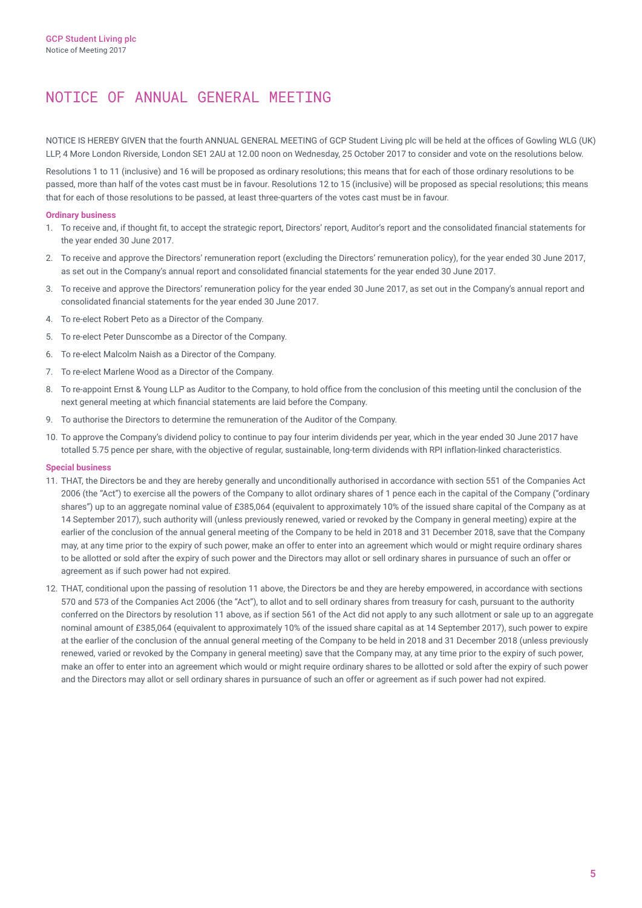# NOTICE OF ANNUAL GENERAL MEETING

NOTICE IS HEREBY GIVEN that the fourth ANNUAL GENERAL MEETING of GCP Student Living plc will be held at the offices of Gowling WLG (UK) LLP, 4 More London Riverside, London SE1 2AU at 12.00 noon on Wednesday, 25 October 2017 to consider and vote on the resolutions below.

Resolutions 1 to 11 (inclusive) and 16 will be proposed as ordinary resolutions; this means that for each of those ordinary resolutions to be passed, more than half of the votes cast must be in favour. Resolutions 12 to 15 (inclusive) will be proposed as special resolutions; this means that for each of those resolutions to be passed, at least three‑quarters of the votes cast must be in favour.

## **Ordinary business**

- 1. To receive and, if thought fit, to accept the strategic report, Directors' report, Auditor's report and the consolidated financial statements for the year ended 30 June 2017.
- 2. To receive and approve the Directors' remuneration report (excluding the Directors' remuneration policy), for the year ended 30 June 2017, as set out in the Company's annual report and consolidated financial statements for the year ended 30 June 2017.
- 3. To receive and approve the Directors' remuneration policy for the year ended 30 June 2017, as set out in the Company's annual report and consolidated financial statements for the year ended 30 June 2017.
- 4. To re‑elect Robert Peto as a Director of the Company.
- 5. To re‑elect Peter Dunscombe as a Director of the Company.
- 6. To re‑elect Malcolm Naish as a Director of the Company.
- 7. To re‑elect Marlene Wood as a Director of the Company.
- 8. To re-appoint Ernst & Young LLP as Auditor to the Company, to hold office from the conclusion of this meeting until the conclusion of the next general meeting at which financial statements are laid before the Company.
- 9. To authorise the Directors to determine the remuneration of the Auditor of the Company.
- 10. To approve the Company's dividend policy to continue to pay four interim dividends per year, which in the year ended 30 June 2017 have totalled 5.75 pence per share, with the objective of regular, sustainable, long-term dividends with RPI inflation-linked characteristics.

## **Special business**

- 11. THAT, the Directors be and they are hereby generally and unconditionally authorised in accordance with section 551 of the Companies Act 2006 (the "Act") to exercise all the powers of the Company to allot ordinary shares of 1 pence each in the capital of the Company ("ordinary shares") up to an aggregate nominal value of £385,064 (equivalent to approximately 10% of the issued share capital of the Company as at 14 September 2017), such authority will (unless previously renewed, varied or revoked by the Company in general meeting) expire at the earlier of the conclusion of the annual general meeting of the Company to be held in 2018 and 31 December 2018, save that the Company may, at any time prior to the expiry of such power, make an offer to enter into an agreement which would or might require ordinary shares to be allotted or sold after the expiry of such power and the Directors may allot or sell ordinary shares in pursuance of such an offer or agreement as if such power had not expired.
- 12. THAT, conditional upon the passing of resolution 11 above, the Directors be and they are hereby empowered, in accordance with sections 570 and 573 of the Companies Act 2006 (the "Act"), to allot and to sell ordinary shares from treasury for cash, pursuant to the authority conferred on the Directors by resolution 11 above, as if section 561 of the Act did not apply to any such allotment or sale up to an aggregate nominal amount of £385,064 (equivalent to approximately 10% of the issued share capital as at 14 September 2017), such power to expire at the earlier of the conclusion of the annual general meeting of the Company to be held in 2018 and 31 December 2018 (unless previously renewed, varied or revoked by the Company in general meeting) save that the Company may, at any time prior to the expiry of such power, make an offer to enter into an agreement which would or might require ordinary shares to be allotted or sold after the expiry of such power and the Directors may allot or sell ordinary shares in pursuance of such an offer or agreement as if such power had not expired.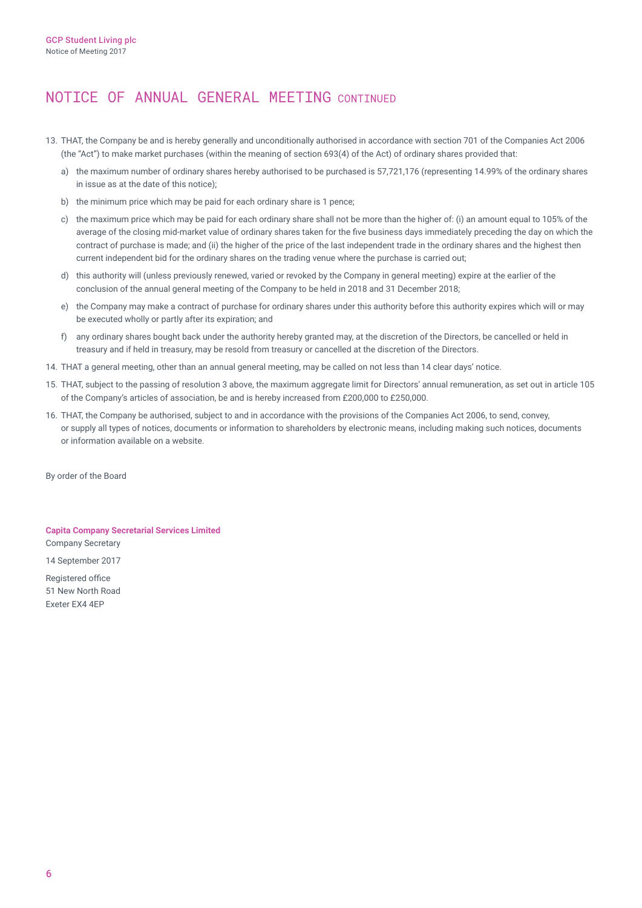# NOTICE OF ANNUAL GENERAL MEETING CONTINUED

- 13. THAT, the Company be and is hereby generally and unconditionally authorised in accordance with section 701 of the Companies Act 2006 (the "Act") to make market purchases (within the meaning of section 693(4) of the Act) of ordinary shares provided that:
	- a) the maximum number of ordinary shares hereby authorised to be purchased is 57,721,176 (representing 14.99% of the ordinary shares in issue as at the date of this notice);
	- b) the minimum price which may be paid for each ordinary share is 1 pence;
	- c) the maximum price which may be paid for each ordinary share shall not be more than the higher of: (i) an amount equal to 105% of the average of the closing mid-market value of ordinary shares taken for the five business days immediately preceding the day on which the contract of purchase is made; and (ii) the higher of the price of the last independent trade in the ordinary shares and the highest then current independent bid for the ordinary shares on the trading venue where the purchase is carried out;
	- d) this authority will (unless previously renewed, varied or revoked by the Company in general meeting) expire at the earlier of the conclusion of the annual general meeting of the Company to be held in 2018 and 31 December 2018;
	- e) the Company may make a contract of purchase for ordinary shares under this authority before this authority expires which will or may be executed wholly or partly after its expiration; and
	- f) any ordinary shares bought back under the authority hereby granted may, at the discretion of the Directors, be cancelled or held in treasury and if held in treasury, may be resold from treasury or cancelled at the discretion of the Directors.
- 14. THAT a general meeting, other than an annual general meeting, may be called on not less than 14 clear days' notice.
- 15. THAT, subject to the passing of resolution 3 above, the maximum aggregate limit for Directors' annual remuneration, as set out in article 105 of the Company's articles of association, be and is hereby increased from £200,000 to £250,000.
- 16. THAT, the Company be authorised, subject to and in accordance with the provisions of the Companies Act 2006, to send, convey, or supply all types of notices, documents or information to shareholders by electronic means, including making such notices, documents or information available on a website.

By order of the Board

**Capita Company Secretarial Services Limited** Company Secretary 14 September 2017

Registered office 51 New North Road Exeter EX4 4EP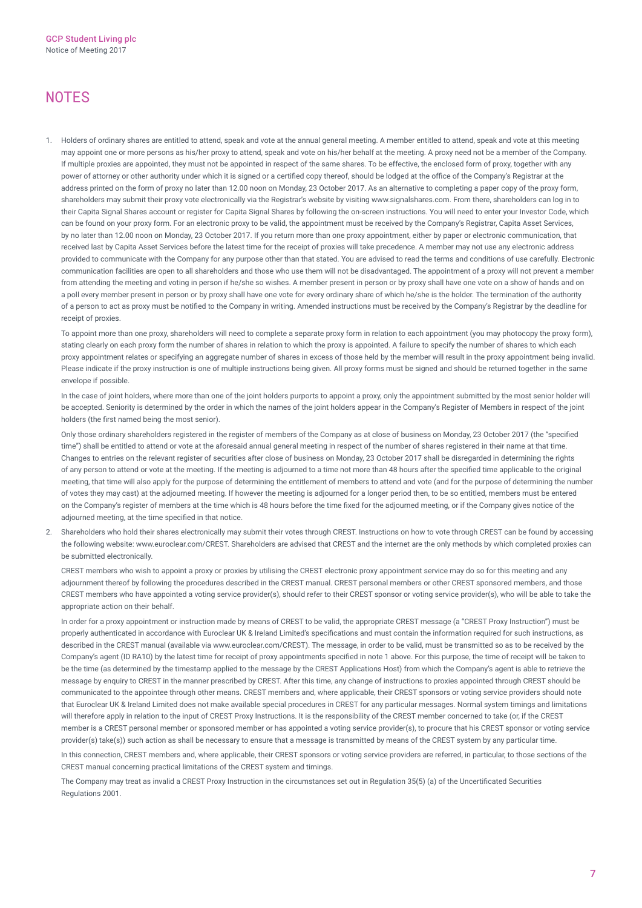# **NOTES**

1. Holders of ordinary shares are entitled to attend, speak and vote at the annual general meeting. A member entitled to attend, speak and vote at this meeting may appoint one or more persons as his/her proxy to attend, speak and vote on his/her behalf at the meeting. A proxy need not be a member of the Company. If multiple proxies are appointed, they must not be appointed in respect of the same shares. To be effective, the enclosed form of proxy, together with any power of attorney or other authority under which it is signed or a certified copy thereof, should be lodged at the office of the Company's Registrar at the address printed on the form of proxy no later than 12.00 noon on Monday, 23 October 2017. As an alternative to completing a paper copy of the proxy form, shareholders may submit their proxy vote electronically via the Registrar's website by visiting [www.signalshares.com.](www.signalshares.com) From there, shareholders can log in to their Capita Signal Shares account or register for Capita Signal Shares by following the on-screen instructions. You will need to enter your Investor Code, which can be found on your proxy form. For an electronic proxy to be valid, the appointment must be received by the Company's Registrar, Capita Asset Services, by no later than 12.00 noon on Monday, 23 October 2017. If you return more than one proxy appointment, either by paper or electronic communication, that received last by Capita Asset Services before the latest time for the receipt of proxies will take precedence. A member may not use any electronic address provided to communicate with the Company for any purpose other than that stated. You are advised to read the terms and conditions of use carefully. Electronic communication facilities are open to all shareholders and those who use them will not be disadvantaged. The appointment of a proxy will not prevent a member from attending the meeting and voting in person if he/she so wishes. A member present in person or by proxy shall have one vote on a show of hands and on a poll every member present in person or by proxy shall have one vote for every ordinary share of which he/she is the holder. The termination of the authority of a person to act as proxy must be notified to the Company in writing. Amended instructions must be received by the Company's Registrar by the deadline for receipt of proxies.

To appoint more than one proxy, shareholders will need to complete a separate proxy form in relation to each appointment (you may photocopy the proxy form), stating clearly on each proxy form the number of shares in relation to which the proxy is appointed. A failure to specify the number of shares to which each proxy appointment relates or specifying an aggregate number of shares in excess of those held by the member will result in the proxy appointment being invalid. Please indicate if the proxy instruction is one of multiple instructions being given. All proxy forms must be signed and should be returned together in the same envelope if possible.

In the case of joint holders, where more than one of the joint holders purports to appoint a proxy, only the appointment submitted by the most senior holder will be accepted. Seniority is determined by the order in which the names of the joint holders appear in the Company's Register of Members in respect of the joint holders (the first named being the most senior).

Only those ordinary shareholders registered in the register of members of the Company as at close of business on Monday, 23 October 2017 (the "specified time") shall be entitled to attend or vote at the aforesaid annual general meeting in respect of the number of shares registered in their name at that time. Changes to entries on the relevant register of securities after close of business on Monday, 23 October 2017 shall be disregarded in determining the rights of any person to attend or vote at the meeting. If the meeting is adjourned to a time not more than 48 hours after the specified time applicable to the original meeting, that time will also apply for the purpose of determining the entitlement of members to attend and vote (and for the purpose of determining the number of votes they may cast) at the adjourned meeting. If however the meeting is adjourned for a longer period then, to be so entitled, members must be entered on the Company's register of members at the time which is 48 hours before the time fixed for the adjourned meeting, or if the Company gives notice of the adjourned meeting, at the time specified in that notice.

2. Shareholders who hold their shares electronically may submit their votes through CREST. Instructions on how to vote through CREST can be found by accessing the following website: [www.euroclear.com/CREST.](www.euroclear.com/CREST) Shareholders are advised that CREST and the internet are the only methods by which completed proxies can be submitted electronically.

CREST members who wish to appoint a proxy or proxies by utilising the CREST electronic proxy appointment service may do so for this meeting and any adjournment thereof by following the procedures described in the CREST manual. CREST personal members or other CREST sponsored members, and those CREST members who have appointed a voting service provider(s), should refer to their CREST sponsor or voting service provider(s), who will be able to take the appropriate action on their behalf.

In order for a proxy appointment or instruction made by means of CREST to be valid, the appropriate CREST message (a "CREST Proxy Instruction") must be properly authenticated in accordance with Euroclear UK & Ireland Limited's specifications and must contain the information required for such instructions, as described in the CREST manual (available via [www.euroclear.com/CREST\).](www.euroclear.com/CREST) The message, in order to be valid, must be transmitted so as to be received by the Company's agent (ID RA10) by the latest time for receipt of proxy appointments specified in note 1 above. For this purpose, the time of receipt will be taken to be the time (as determined by the timestamp applied to the message by the CREST Applications Host) from which the Company's agent is able to retrieve the message by enquiry to CREST in the manner prescribed by CREST. After this time, any change of instructions to proxies appointed through CREST should be communicated to the appointee through other means. CREST members and, where applicable, their CREST sponsors or voting service providers should note that Euroclear UK & Ireland Limited does not make available special procedures in CREST for any particular messages. Normal system timings and limitations will therefore apply in relation to the input of CREST Proxy Instructions. It is the responsibility of the CREST member concerned to take (or, if the CREST member is a CREST personal member or sponsored member or has appointed a voting service provider(s), to procure that his CREST sponsor or voting service provider(s) take(s)) such action as shall be necessary to ensure that a message is transmitted by means of the CREST system by any particular time. In this connection, CREST members and, where applicable, their CREST sponsors or voting service providers are referred, in particular, to those sections of the

CREST manual concerning practical limitations of the CREST system and timings.

The Company may treat as invalid a CREST Proxy Instruction in the circumstances set out in Regulation 35(5) (a) of the Uncertificated Securities Regulations 2001.